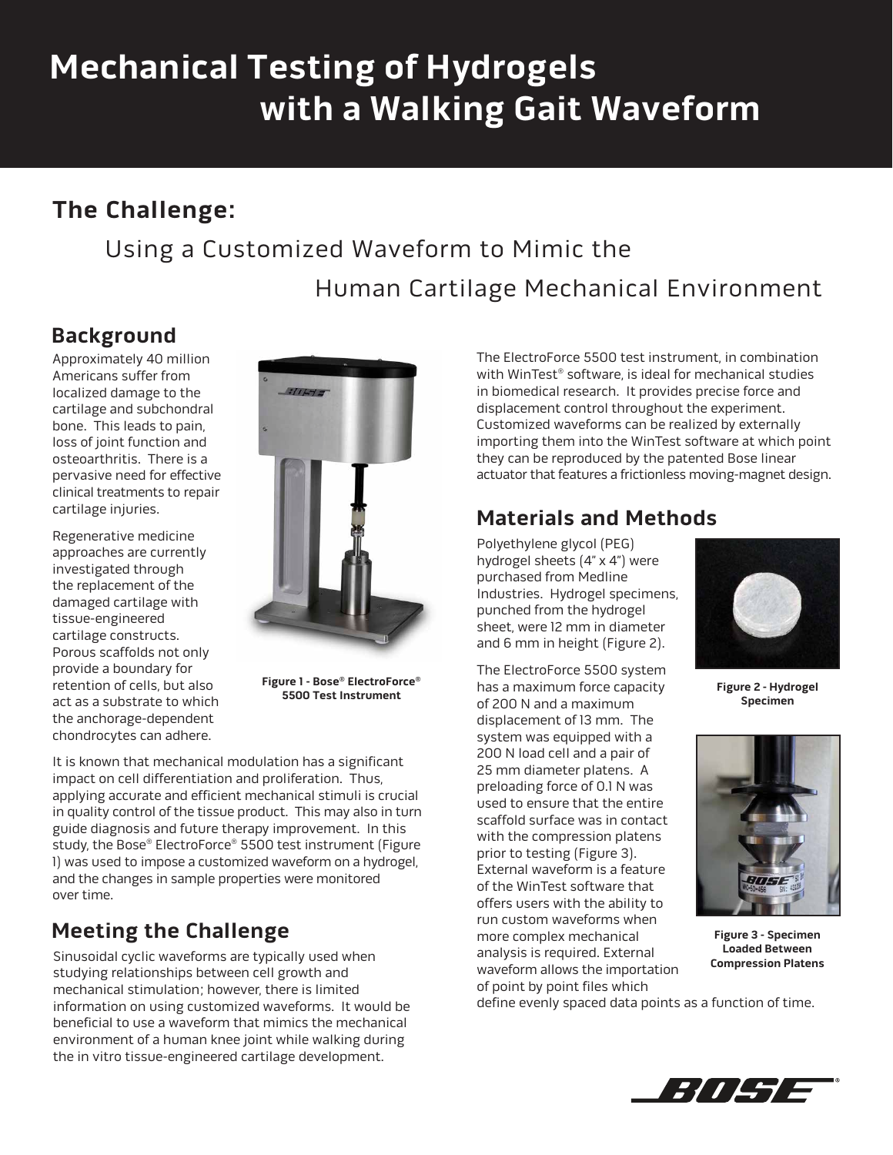# **Mechanical Testing of Hydrogels with a Walking Gait Waveform**

## **The Challenge:**

## Using a Customized Waveform to Mimic the Human Cartilage Mechanical Environment

## **Background**

Approximately 40 million Americans suffer from localized damage to the cartilage and subchondral bone. This leads to pain, loss of joint function and osteoarthritis. There is a pervasive need for effective clinical treatments to repair cartilage injuries.

Regenerative medicine approaches are currently investigated through the replacement of the damaged cartilage with tissue-engineered cartilage constructs. Porous scaffolds not only provide a boundary for retention of cells, but also act as a substrate to which the anchorage-dependent chondrocytes can adhere.



**Figure 1 - Bose® ElectroForce® 5500 Test Instrument**

It is known that mechanical modulation has a significant impact on cell differentiation and proliferation. Thus, applying accurate and efficient mechanical stimuli is crucial in quality control of the tissue product. This may also in turn guide diagnosis and future therapy improvement. In this study, the Bose® ElectroForce® 5500 test instrument (Figure 1) was used to impose a customized waveform on a hydrogel, and the changes in sample properties were monitored over time.

## **Meeting the Challenge**

Sinusoidal cyclic waveforms are typically used when studying relationships between cell growth and mechanical stimulation; however, there is limited information on using customized waveforms. It would be beneficial to use a waveform that mimics the mechanical environment of a human knee joint while walking during the in vitro tissue-engineered cartilage development.

The ElectroForce 5500 test instrument, in combination with WinTest<sup>®</sup> software, is ideal for mechanical studies in biomedical research. It provides precise force and displacement control throughout the experiment. Customized waveforms can be realized by externally importing them into the WinTest software at which point they can be reproduced by the patented Bose linear actuator that features a frictionless moving-magnet design.

### **Materials and Methods**

Polyethylene glycol (PEG) hydrogel sheets (4" x 4") were purchased from Medline Industries. Hydrogel specimens, punched from the hydrogel sheet, were 12 mm in diameter and 6 mm in height (Figure 2).

The ElectroForce 5500 system has a maximum force capacity of 200 N and a maximum displacement of 13 mm. The system was equipped with a 200 N load cell and a pair of 25 mm diameter platens. A preloading force of 0.1 N was used to ensure that the entire scaffold surface was in contact with the compression platens prior to testing (Figure 3). External waveform is a feature of the WinTest software that offers users with the ability to run custom waveforms when more complex mechanical analysis is required. External waveform allows the importation of point by point files which



**Figure 2 - Hydrogel Specimen** 



**Figure 3 - Specimen Loaded Between Compression Platens** 

define evenly spaced data points as a function of time.